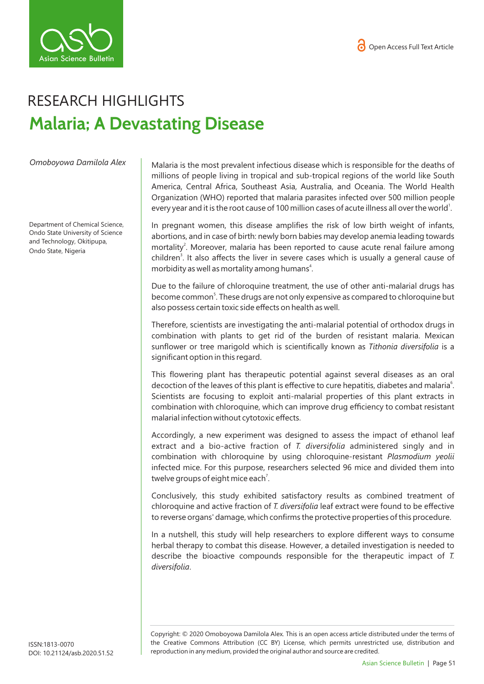



## RESEARCH HIGHLIGHTS **Malaria; A Devastating Disease**

*Omoboyowa Damilola Alex*

Department of Chemical Science, Ondo State University of Science and Technology, Okitipupa, Ondo State, Nigeria

Malaria is the most prevalent infectious disease which is responsible for the deaths of millions of people living in tropical and sub-tropical regions of the world like South America, Central Africa, Southeast Asia, Australia, and Oceania. The World Health Organization (WHO) reported that malaria parasites infected over 500 million people every year and it is the root cause of 100 million cases of acute illness all over the world<sup>1</sup>.

In pregnant women, this disease amplifies the risk of low birth weight of infants, abortions, and in case of birth: newly born babies may develop anemia leading towards mortality<sup>2</sup>. Moreover, malaria has been reported to cause acute renal failure among children<sup>3</sup>. It also affects the liver in severe cases which is usually a general cause of morbidity as well as mortality among humans<sup>4</sup>.

Due to the failure of chloroquine treatment, the use of other anti-malarial drugs has become common<sup>5</sup>. These drugs are not only expensive as compared to chloroquine but also possess certain toxic side effects on health as well.

Therefore, scientists are investigating the anti-malarial potential of orthodox drugs in combination with plants to get rid of the burden of resistant malaria. Mexican sunflower or tree marigold which is scientifically known as *Tithonia diversifolia* is a significant option in this regard.

This flowering plant has therapeutic potential against several diseases as an oral decoction of the leaves of this plant is effective to cure hepatitis, diabetes and malaria<sup>6</sup>. Scientists are focusing to exploit anti-malarial properties of this plant extracts in combination with chloroquine, which can improve drug efficiency to combat resistant malarial infection without cytotoxic effects.

Accordingly, a new experiment was designed to assess the impact of ethanol leaf extract and a bio-active fraction of *T. diversifolia* administered singly and in combination with chloroquine by using chloroquine-resistant *Plasmodium yeolii* infected mice. For this purpose, researchers selected 96 mice and divided them into twelve groups of eight mice each<sup>7</sup>.

Conclusively, this study exhibited satisfactory results as combined treatment of chloroquine and active fraction of *T. diversifolia* leaf extract were found to be effective to reverse organs' damage, which confirms the protective properties of this procedure.

In a nutshell, this study will help researchers to explore different ways to consume herbal therapy to combat this disease. However, a detailed investigation is needed to describe the bioactive compounds responsible for the therapeutic impact of *T. diversifolia*.

Copyright: © 2020 Omoboyowa Damilola Alex*.* This is an open access article distributed under the terms of the Creative Commons Attribution (CC BY) License, which permits unrestricted use, distribution and reproduction in any medium, provided the original author and source are credited.